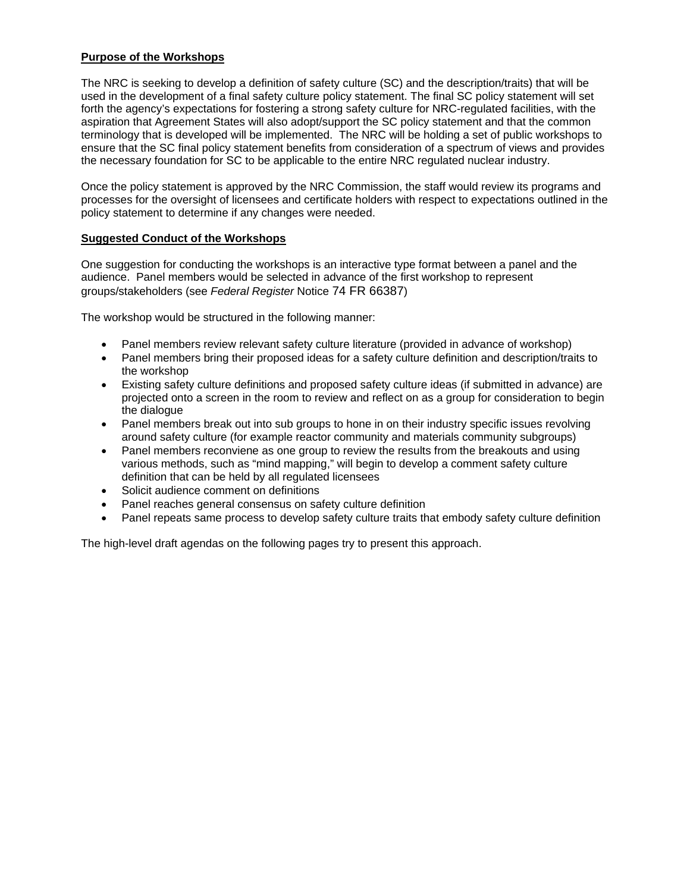# **Purpose of the Workshops**

The NRC is seeking to develop a definition of safety culture (SC) and the description/traits) that will be used in the development of a final safety culture policy statement. The final SC policy statement will set forth the agency's expectations for fostering a strong safety culture for NRC-regulated facilities, with the aspiration that Agreement States will also adopt/support the SC policy statement and that the common terminology that is developed will be implemented. The NRC will be holding a set of public workshops to ensure that the SC final policy statement benefits from consideration of a spectrum of views and provides the necessary foundation for SC to be applicable to the entire NRC regulated nuclear industry.

Once the policy statement is approved by the NRC Commission, the staff would review its programs and processes for the oversight of licensees and certificate holders with respect to expectations outlined in the policy statement to determine if any changes were needed.

# **Suggested Conduct of the Workshops**

One suggestion for conducting the workshops is an interactive type format between a panel and the audience. Panel members would be selected in advance of the first workshop to represent groups/stakeholders (see *Federal Register* Notice 74 FR 66387)

The workshop would be structured in the following manner:

- Panel members review relevant safety culture literature (provided in advance of workshop)
- Panel members bring their proposed ideas for a safety culture definition and description/traits to the workshop
- Existing safety culture definitions and proposed safety culture ideas (if submitted in advance) are projected onto a screen in the room to review and reflect on as a group for consideration to begin the dialogue
- Panel members break out into sub groups to hone in on their industry specific issues revolving around safety culture (for example reactor community and materials community subgroups)
- Panel members reconviene as one group to review the results from the breakouts and using various methods, such as "mind mapping," will begin to develop a comment safety culture definition that can be held by all regulated licensees
- Solicit audience comment on definitions
- Panel reaches general consensus on safety culture definition
- Panel repeats same process to develop safety culture traits that embody safety culture definition

The high-level draft agendas on the following pages try to present this approach.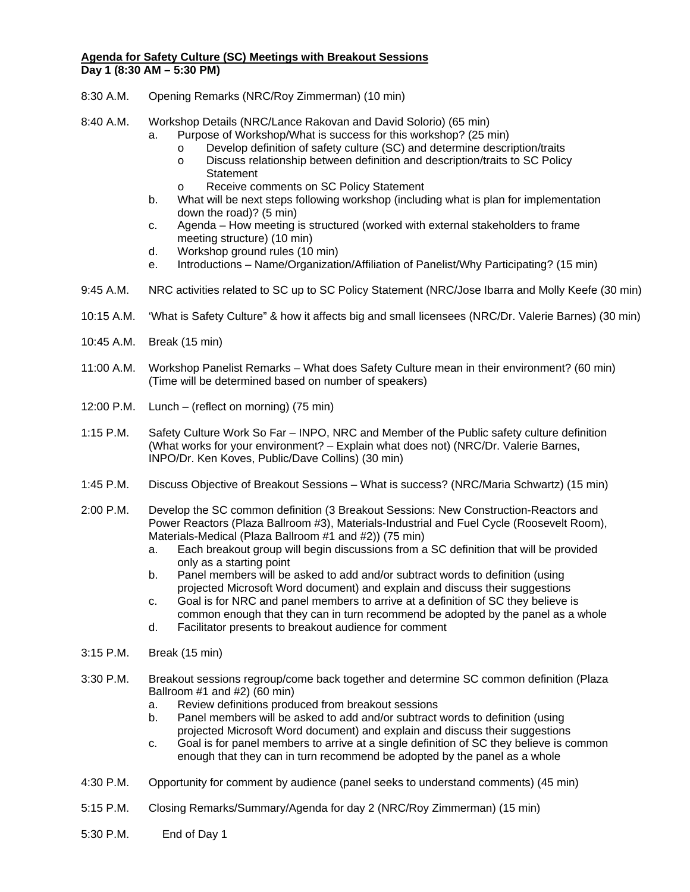# **Agenda for Safety Culture (SC) Meetings with Breakout Sessions Day 1 (8:30 AM – 5:30 PM)**

- 8:30 A.M. Opening Remarks (NRC/Roy Zimmerman) (10 min)
- 8:40 A.M. Workshop Details (NRC/Lance Rakovan and David Solorio) (65 min)
	- a. Purpose of Workshop/What is success for this workshop? (25 min)
		- o Develop definition of safety culture (SC) and determine description/traits
		- o Discuss relationship between definition and description/traits to SC Policy **Statement**
		- o Receive comments on SC Policy Statement
	- b. What will be next steps following workshop (including what is plan for implementation down the road)? (5 min)
	- c. Agenda How meeting is structured (worked with external stakeholders to frame meeting structure) (10 min)
	- d. Workshop ground rules (10 min)
	- e. Introductions Name/Organization/Affiliation of Panelist/Why Participating? (15 min)
- 9:45 A.M. NRC activities related to SC up to SC Policy Statement (NRC/Jose Ibarra and Molly Keefe (30 min)
- 10:15 A.M. 'What is Safety Culture" & how it affects big and small licensees (NRC/Dr. Valerie Barnes) (30 min)
- 10:45 A.M. Break (15 min)
- 11:00 A.M. Workshop Panelist Remarks What does Safety Culture mean in their environment? (60 min) (Time will be determined based on number of speakers)
- 12:00 P.M. Lunch (reflect on morning) (75 min)
- 1:15 P.M. Safety Culture Work So Far INPO, NRC and Member of the Public safety culture definition (What works for your environment? – Explain what does not) (NRC/Dr. Valerie Barnes, INPO/Dr. Ken Koves, Public/Dave Collins) (30 min)
- 1:45 P.M. Discuss Objective of Breakout Sessions What is success? (NRC/Maria Schwartz) (15 min)
- 2:00 P.M. Develop the SC common definition (3 Breakout Sessions: New Construction-Reactors and Power Reactors (Plaza Ballroom #3), Materials-Industrial and Fuel Cycle (Roosevelt Room), Materials-Medical (Plaza Ballroom #1 and #2)) (75 min)
	- a. Each breakout group will begin discussions from a SC definition that will be provided only as a starting point
	- b. Panel members will be asked to add and/or subtract words to definition (using projected Microsoft Word document) and explain and discuss their suggestions
	- c. Goal is for NRC and panel members to arrive at a definition of SC they believe is common enough that they can in turn recommend be adopted by the panel as a whole
	- d. Facilitator presents to breakout audience for comment
- 3:15 P.M. Break (15 min)
- 3:30 P.M. Breakout sessions regroup/come back together and determine SC common definition (Plaza Ballroom #1 and #2) (60 min)
	- a. Review definitions produced from breakout sessions
	- b. Panel members will be asked to add and/or subtract words to definition (using projected Microsoft Word document) and explain and discuss their suggestions
	- c. Goal is for panel members to arrive at a single definition of SC they believe is common enough that they can in turn recommend be adopted by the panel as a whole
- 4:30 P.M. Opportunity for comment by audience (panel seeks to understand comments) (45 min)
- 5:15 P.M. Closing Remarks/Summary/Agenda for day 2 (NRC/Roy Zimmerman) (15 min)
- 5:30 P.M. End of Day 1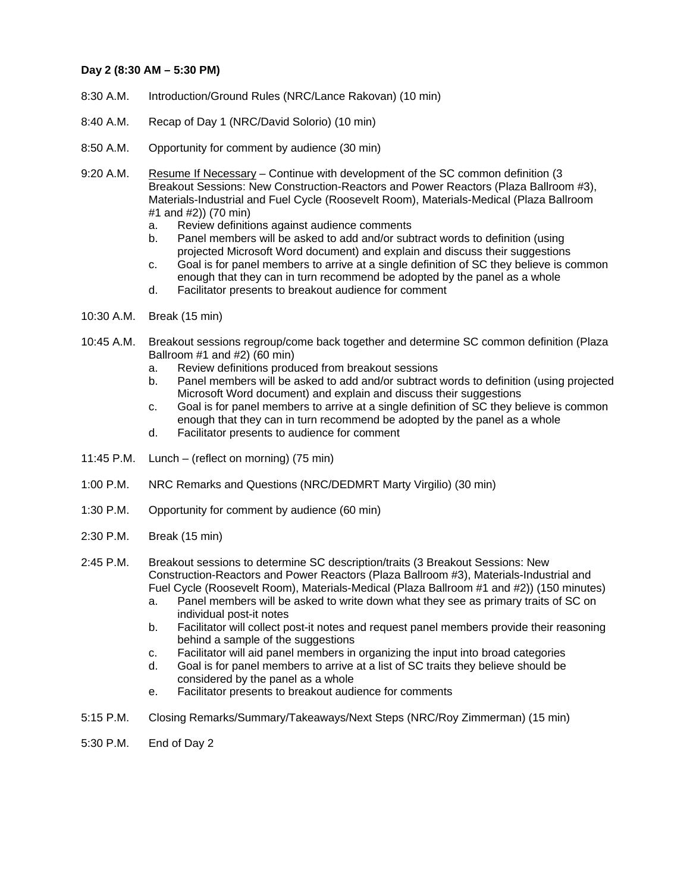#### **Day 2 (8:30 AM – 5:30 PM)**

- 8:30 A.M. Introduction/Ground Rules (NRC/Lance Rakovan) (10 min)
- 8:40 A.M. Recap of Day 1 (NRC/David Solorio) (10 min)
- 8:50 A.M. Opportunity for comment by audience (30 min)
- 9:20 A.M. Resume If Necessary Continue with development of the SC common definition (3 Breakout Sessions: New Construction-Reactors and Power Reactors (Plaza Ballroom #3), Materials-Industrial and Fuel Cycle (Roosevelt Room), Materials-Medical (Plaza Ballroom #1 and #2)) (70 min)
	- a. Review definitions against audience comments
	- b. Panel members will be asked to add and/or subtract words to definition (using projected Microsoft Word document) and explain and discuss their suggestions
	- c. Goal is for panel members to arrive at a single definition of SC they believe is common enough that they can in turn recommend be adopted by the panel as a whole
	- d. Facilitator presents to breakout audience for comment
- 10:30 A.M. Break (15 min)
- 10:45 A.M. Breakout sessions regroup/come back together and determine SC common definition (Plaza Ballroom #1 and #2) (60 min)
	- a. Review definitions produced from breakout sessions
	- b. Panel members will be asked to add and/or subtract words to definition (using projected Microsoft Word document) and explain and discuss their suggestions
	- c. Goal is for panel members to arrive at a single definition of SC they believe is common enough that they can in turn recommend be adopted by the panel as a whole
	- d. Facilitator presents to audience for comment
- 11:45 P.M. Lunch (reflect on morning) (75 min)
- 1:00 P.M. NRC Remarks and Questions (NRC/DEDMRT Marty Virgilio) (30 min)
- 1:30 P.M. Opportunity for comment by audience (60 min)
- 2:30 P.M. Break (15 min)
- 2:45 P.M. Breakout sessions to determine SC description/traits (3 Breakout Sessions: New Construction-Reactors and Power Reactors (Plaza Ballroom #3), Materials-Industrial and Fuel Cycle (Roosevelt Room), Materials-Medical (Plaza Ballroom #1 and #2)) (150 minutes)
	- a. Panel members will be asked to write down what they see as primary traits of SC on individual post-it notes
	- b. Facilitator will collect post-it notes and request panel members provide their reasoning behind a sample of the suggestions
	- c. Facilitator will aid panel members in organizing the input into broad categories
	- d. Goal is for panel members to arrive at a list of SC traits they believe should be considered by the panel as a whole
	- e. Facilitator presents to breakout audience for comments
- 5:15 P.M. Closing Remarks/Summary/Takeaways/Next Steps (NRC/Roy Zimmerman) (15 min)
- 5:30 P.M. End of Day 2